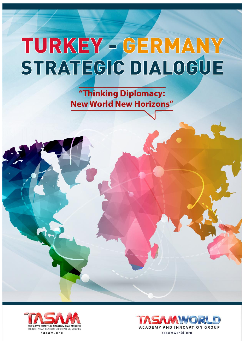"Thinking Diplomacy: **New World New Horizons"** 



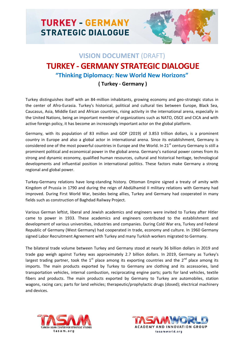

## **VISION DOCUMENT** (DRAFT) **TURKEY - GERMANY STRATEGIC DIALOGUE "Thinking Diplomacy: New World New Horizons"**

## **( Turkey - Germany )**

Turkey distinguishes itself with an 84-million inhabitants, growing economy and geo-strategic status in the center of Afro-Eurasia. Turkey's historical, political and cultural ties between Europe, Black Sea, Caucasus, Asia, Middle East and African countries, rising activity in the international arena, especially in the United Nations, being an important member of organizations such as NATO, OSCE and CICA and with active foreign policy, it has become an increasingly important actor on the global platform.

Germany, with its population of 83 million and GDP (2019) of 3.853 trillion dollars, is a prominent country in Europe and also a global actor in international arena. Since its establishment, Germany is considered one of the most powerful countries in Europe and the World. In 21<sup>st</sup> century Germany is still a prominent political and economical power in the global arena. Germany's national power comes from its strong and dynamic economy, qualified human resources, cultural and historical heritage, technological developments and influential position in international politics. These factors make Germany a strong regional and global power.

Turkey-Germany relations have long-standing history. Ottoman Empire signed a treaty of amity with Kingdom of Prussia in 1790 and during the reign of Abdülhamid II military relations with Germany had improved. During First World War, besides being allies, Turkey and Germany had cooperated in many fields such as construction of Baghdad Railway Project.

Various German leftist, liberal and Jewish academics and engineers were invited to Turkey after Hitler came to power in 1933. These academics and engineers contributed to the establishment and development of various universities, industries and companies. During Cold War era, Turkey and Federal Republic of Germany (West Germany) had cooperated in trade, economy and culture. In 1960 Germany signed Labor Recruitment Agreement with Turkey and many Turkish workers migrated to Germany.

The bilateral trade volume between Turkey and Germany stood at nearly 36 billion dollars in 2019 and trade gap weigh against Turkey was approximately 2.7 billion dollars. In 2019, Germany as Turkey's largest trading partner, took the  $1<sup>st</sup>$  place among its exporting countries and the  $2<sup>nd</sup>$  place among its imports. The main products exported by Turkey to Germany are clothing and its accessories, land transportation vehicles, internal combustion, reciprocating engine parts; parts for land vehicles, textile fibers and products. The main products exported by Germany to Turkey are automobiles, station wagons, racing cars; parts for land vehicles; therapeutic/prophylactic drugs (dosed); electrical machinery and devices.



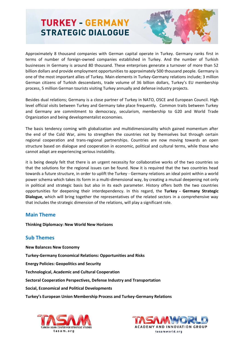

Approximately 8 thousand companies with German capital operate in Turkey. Germany ranks first in terms of number of foreign-owned companies established in Turkey. And the number of Turkish businesses in Germany is around 80 thousand. These enterprises generate a turnover of more than 52 billion dollars and provide employment opportunities to approximately 500 thousand people. Germany is one of the most important allies of Turkey. Main elements in Turkey-Germany relations include; 3 million German citizens of Turkish descendants, trade volume of 36 billion dollars, Turkey's EU membership process, 5 million German tourists visiting Turkey annually and defense industry projects.

Besides dual relations; Germany is a close partner of Turkey in NATO, OSCE and European Council. High level official visits between Turkey and Germany take place frequently. Common traits between Turkey and Germany are commitment to democracy, secularism, membership to G20 and World Trade Organization and being developmentalist economies.

The basis tendency coming with globalization and multidimensionality which gained momentum after the end of the Cold War, aims to strengthen the countries not by themselves but through certain regional cooperation and trans-regional partnerships. Countries are now moving towards an open structure based on dialogue and cooperation in economic, political and cultural terms, while those who cannot adapt are experiencing serious instability.

it is being deeply felt that there is an urgent necessity for collaborative works of the two countries so that the solutions for the regional issues can be found. Now it is required that the two countries head towards a future structure, in order to uplift the Turkey - Germany relations an ideal point within a world power schema which takes its form in a multi-dimensional way, by creating a mutual deepening not only in political and strategic basis but also in its each parameter. History offers both the two countries opportunities for deepening their interdependency. In this regard, the **Turkey - Germany Strategic Dialogue**, which will bring together the representatives of the related sectors in a comprehensive way that includes the strategic dimension of the relations, will play a significant role.

## **Main Theme**

**Thinking Diplomacy: New World New Horizons**

## **Sub Themes**

**New Balances New Economy Turkey-Germany Economical Relations: Opportunities and Risks Energy Policies: Geopolitics and Security Technological, Academic and Cultural Cooperation Sectoral Cooperation Perspectives, Defense Industry and Transportation Social, Economical and Political Developments**

**Turkey's European Union Membership Process and Turkey-Germany Relations**



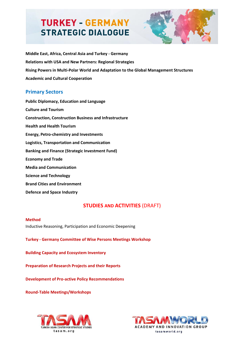

**Middle East, Africa, Central Asia and Turkey - Germany Relations with USA and New Partners: Regional Strategies Rising Powers in Multi-Polar World and Adaptation to the Global Management Structures Academic and Cultural Cooperation** 

### **Primary Sectors**

**Public Diplomacy, Education and Language Culture and Tourism Construction, Construction Business and Infrastructure Health and Health Tourism Energy, Petro-chemistry and Investments Logistics, Transportation and Communication Banking and Finance (Strategic Investment Fund) Economy and Trade Media and Communication Science and Technology Brand Cities and Environment Defence and Space Industry**

## **STUDIES AND ACTIVITIES (DRAFT)**

#### **Method**

Inductive Reasoning, Participation and Economic Deepening

**Turkey - Germany Committee of Wise Persons Meetings Workshop**

**Building Capacity and Ecosystem Inventory**

**Preparation of Research Projects and their Reports**

**Development of Pro-active Policy Recommendations** 

**Round-Table Meetings/Workshops**